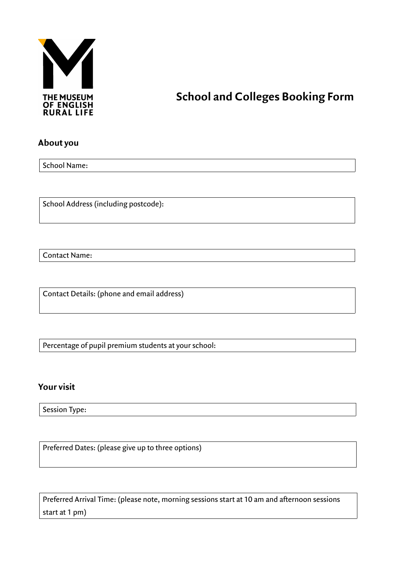

# **THE MUSEUM COLLEGES BOOKING FORM**<br>OF ENGLISH<br>RURAL LIFE

#### **About you**

School Name:

School Address (including postcode):

Contact Name:

Contact Details: (phone and email address)

Percentage of pupil premium students at your school:

#### **Your visit**

Session Type:

Preferred Dates: (please give up to three options)

Preferred Arrival Time: (please note, morning sessions start at 10 am and afternoon sessions start at 1 pm)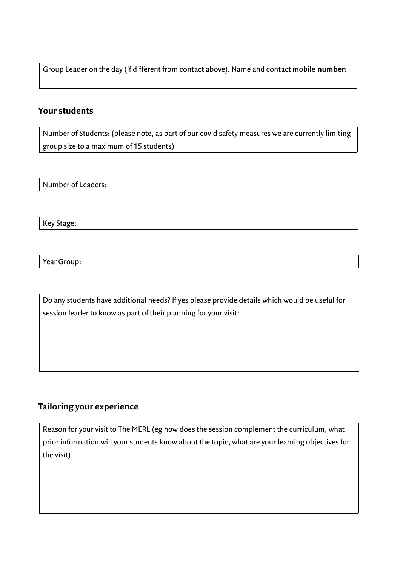Group Leader on the day (if different from contact above). Name and contact mobile **number:**

### **Your students**

Number of Students: (please note, as part of our covid safety measures we are currently limiting group size to a maximum of 15 students)

Number of Leaders:

Key Stage:

Year Group:

Do any students have additional needs? If yes please provide details which would be useful for session leader to know as part of their planning for your visit:

## **Tailoring your experience**

Reason for your visit to The MERL (eg how does the session complement the curriculum, what prior information will your students know about the topic, what are your learning objectives for the visit)